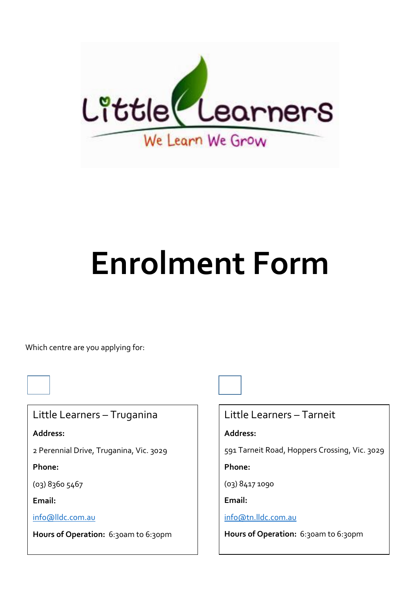

# **Enrolment Form**

Which centre are you applying for:

Little Learners – Truganina

**Address:**

2 Perennial Drive, Truganina, Vic. 3029

**Phone:**

(03) 8360 5467

**Email:**

[info@lldc.com.au](mailto:info@lldc.com.au)

**Hours of Operation:** 6:30am to 6:30pm

Little Learners – Tarneit

**Address:**

591 Tarneit Road, Hoppers Crossing, Vic. 3029

**Phone:**

(03) 8417 1090

**Email:**

[info@tn.lldc.com.au](mailto:info@tn.lldc.com.au)

Hours of Operation: 6:30am to 6:30pm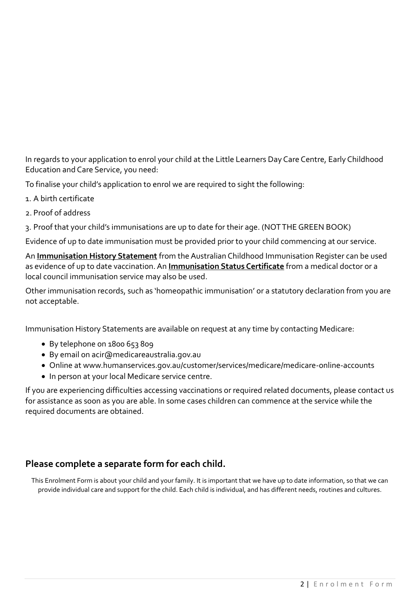In regards to your application to enrol your child at the Little Learners Day Care Centre, Early Childhood Education and Care Service, you need:

To finalise your child's application to enrol we are required to sight the following:

- 1. A birth certificate
- 2. Proof of address
- 3. Proof that your child's immunisations are up to date for their age. (NOT THE GREEN BOOK)

Evidence of up to date immunisation must be provided prior to your child commencing at our service.

An **Immunisation History Statement** from the Australian Childhood Immunisation Register can be used as evidence of up to date vaccination. An **Immunisation Status Certificate** from a medical doctor or a local council immunisation service may also be used.

Other immunisation records, such as 'homeopathic immunisation' or a statutory declaration from you are not acceptable.

Immunisation History Statements are available on request at any time by contacting Medicare:

- By telephone on 1800 653 809
- By email on acir@medicareaustralia.gov.au
- Online at www.humanservices.gov.au/customer/services/medicare/medicare-online-accounts
- In person at your local Medicare service centre.

If you are experiencing difficulties accessing vaccinations or required related documents, please contact us for assistance as soon as you are able. In some cases children can commence at the service while the required documents are obtained.

### **Please complete a separate form for each child.**

This Enrolment Form is about your child and your family. It is important that we have up to date information, so that we can provide individual care and support for the child. Each child is individual, and has different needs, routines and cultures.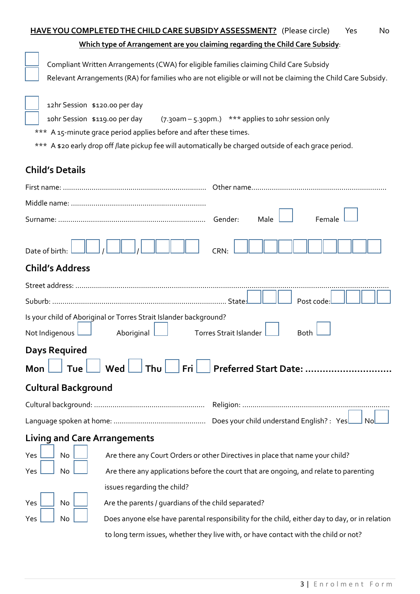| <b>HAVE YOU COMPLETED THE CHILD CARE SUBSIDY ASSESSMENT?</b> (Please circle)                                                                                                                                                                   | No<br>Yes                                                                                                    |
|------------------------------------------------------------------------------------------------------------------------------------------------------------------------------------------------------------------------------------------------|--------------------------------------------------------------------------------------------------------------|
| Which type of Arrangement are you claiming regarding the Child Care Subsidy:                                                                                                                                                                   |                                                                                                              |
| Compliant Written Arrangements (CWA) for eligible families claiming Child Care Subsidy                                                                                                                                                         |                                                                                                              |
|                                                                                                                                                                                                                                                | Relevant Arrangements (RA) for families who are not eligible or will not be claiming the Child Care Subsidy. |
| 12hr Session \$120.00 per day<br>10hr Session \$119.00 per day<br>*** A 15-minute grace period applies before and after these times.<br>*** A \$20 early drop off /late pickup fee will automatically be charged outside of each grace period. | (7.30am - 5.30pm.) *** applies to 10hr session only                                                          |
| <b>Child's Details</b>                                                                                                                                                                                                                         |                                                                                                              |
|                                                                                                                                                                                                                                                |                                                                                                              |
|                                                                                                                                                                                                                                                |                                                                                                              |
|                                                                                                                                                                                                                                                | Gender:<br>Male<br>Female                                                                                    |
| Date of birth:                                                                                                                                                                                                                                 | <b>CRN:</b>                                                                                                  |
| <b>Child's Address</b>                                                                                                                                                                                                                         |                                                                                                              |
|                                                                                                                                                                                                                                                |                                                                                                              |
|                                                                                                                                                                                                                                                | Post code                                                                                                    |
| Is your child of Aboriginal or Torres Strait Islander background?                                                                                                                                                                              |                                                                                                              |
| Not Indigenous<br>Aboriginal                                                                                                                                                                                                                   | <b>Torres Strait Islander</b><br><b>Both</b>                                                                 |
| <b>Days Required</b>                                                                                                                                                                                                                           |                                                                                                              |
| Thu<br>Wed<br>Fri<br>Mon<br>Tue                                                                                                                                                                                                                | Preferred Start Date:                                                                                        |
| <b>Cultural Background</b>                                                                                                                                                                                                                     |                                                                                                              |
|                                                                                                                                                                                                                                                |                                                                                                              |
|                                                                                                                                                                                                                                                | Does your child understand English? : Yes                                                                    |
| <b>Living and Care Arrangements</b>                                                                                                                                                                                                            |                                                                                                              |
| No<br>Yes                                                                                                                                                                                                                                      | Are there any Court Orders or other Directives in place that name your child?                                |
| No<br>Yes                                                                                                                                                                                                                                      | Are there any applications before the court that are ongoing, and relate to parenting                        |
| issues regarding the child?                                                                                                                                                                                                                    |                                                                                                              |
| No<br>Are the parents / guardians of the child separated?<br>Yes                                                                                                                                                                               |                                                                                                              |
| No<br>Yes                                                                                                                                                                                                                                      | Does anyone else have parental responsibility for the child, either day to day, or in relation               |
|                                                                                                                                                                                                                                                | to long term issues, whether they live with, or have contact with the child or not?                          |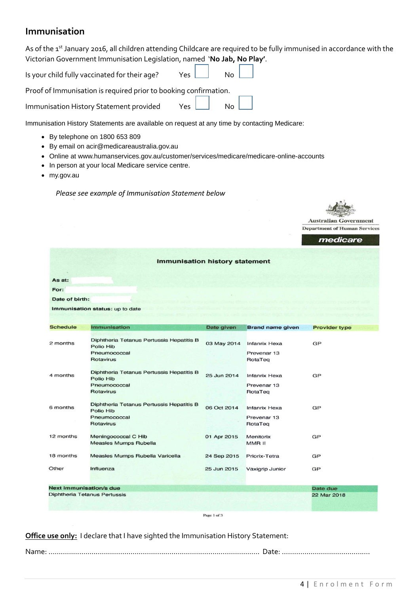## **Immunisation**

|                         | As of the 1 <sup>st</sup> January 2016, all children attending Childcare are required to be fully immunised in accordance with the<br>Victorian Government Immunisation Legislation, named 'No Jab, No Play'.           |             |                                                |                                                                                 |
|-------------------------|-------------------------------------------------------------------------------------------------------------------------------------------------------------------------------------------------------------------------|-------------|------------------------------------------------|---------------------------------------------------------------------------------|
|                         | Is your child fully vaccinated for their age?<br>Yes                                                                                                                                                                    | No          |                                                |                                                                                 |
|                         | Proof of Immunisation is required prior to booking confirmation.                                                                                                                                                        |             |                                                |                                                                                 |
|                         | Immunisation History Statement provided<br>Yes                                                                                                                                                                          | No          |                                                |                                                                                 |
|                         | Immunisation History Statements are available on request at any time by contacting Medicare:                                                                                                                            |             |                                                |                                                                                 |
| $\bullet$<br>my.gov.au  | By telephone on 1800 653 809<br>By email on acir@medicareaustralia.gov.au<br>Online at www.humanservices.gov.au/customer/services/medicare/medicare-online-accounts<br>In person at your local Medicare service centre. |             |                                                |                                                                                 |
|                         | Please see example of Immunisation Statement below                                                                                                                                                                      |             |                                                |                                                                                 |
|                         |                                                                                                                                                                                                                         |             |                                                | <b>Australian Government</b><br><b>Department of Human Services</b><br>medicare |
| As at:                  | <b>Immunisation history statement</b>                                                                                                                                                                                   |             |                                                |                                                                                 |
| For:                    |                                                                                                                                                                                                                         |             |                                                |                                                                                 |
| Date of birth:          |                                                                                                                                                                                                                         |             |                                                |                                                                                 |
|                         | Immunisation status: up to date                                                                                                                                                                                         |             |                                                |                                                                                 |
| <b>Schedule</b>         | Immunisation                                                                                                                                                                                                            | Date given  | <b>Brand name given</b>                        | <b>Provider type</b>                                                            |
| 2 months                | Diphtheria Tetanus Pertussis Hepatitis B<br>Polio Hib<br>Pneumococcal<br><b>Rotavirus</b>                                                                                                                               | 03 May 2014 | <b>Infanrix Hexa</b><br>Prevenar 13<br>RotaTeq | GP                                                                              |
| 4 months                | Diphtheria Tetanus Pertussis Hepatitis B<br>Polio Hib<br>Pneumococcal<br><b>Rotavirus</b>                                                                                                                               | 25 Jun 2014 | <b>Infanrix Hexa</b><br>Prevenar 13<br>RotaTeg | GP                                                                              |
| 6 months                | Diphtheria Tetanus Pertussis Hepatitis B<br>Polio Hib<br>Pneumococcal<br>Rotavirus                                                                                                                                      | 06 Oct 2014 | <b>Infanrix Hexa</b><br>Prevenar 13<br>RotaTeq | GP                                                                              |
| 12 months               | Meningococcal C Hib<br><b>Measles Mumps Rubella</b>                                                                                                                                                                     | 01 Apr 2015 | Menitorix<br>MMR II                            | GP                                                                              |
| 18 months               | Measles Mumps Rubella Varicella                                                                                                                                                                                         | 24 Sep 2015 | Priorix-Tetra                                  | GP                                                                              |
| Other                   | Influenza                                                                                                                                                                                                               | 25 Jun 2015 | Vaxigrip Junior                                | GP                                                                              |
| Next immunisation/s due | Diphtheria Tetanus Pertussis                                                                                                                                                                                            |             |                                                | Date due<br>22 Mar 2018                                                         |
|                         |                                                                                                                                                                                                                         | Page 1 of 3 |                                                |                                                                                 |

**Office use only:** I declare that I have sighted the Immunisation History Statement:

Name: …………………..…………………………………………………………………….. Date: …………………………………….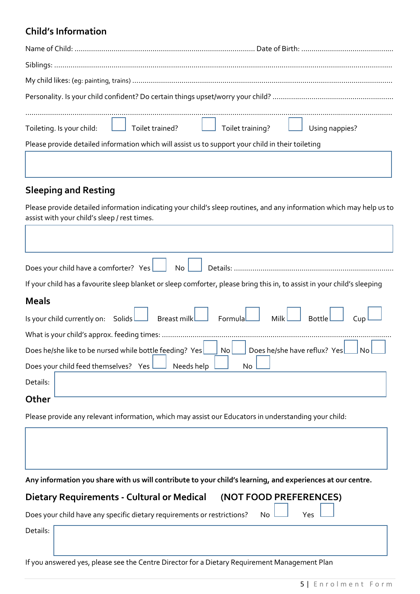## **Child's Information**

|                                                                                                   | Toileting. Is your child: Toilet trained? Toilet training? Using nappies? |
|---------------------------------------------------------------------------------------------------|---------------------------------------------------------------------------|
|                                                                                                   |                                                                           |
| Please provide detailed information which will assist us to support your child in their toileting |                                                                           |
|                                                                                                   |                                                                           |

## **Sleeping and Resting**

Please provide detailed information indicating your child's sleep routines, and any information which may help us to assist with your child's sleep / rest times.

| Does your child have a comforter? Yes<br>No <sub>l</sub>                                                                 |
|--------------------------------------------------------------------------------------------------------------------------|
| If your child has a favourite sleep blanket or sleep comforter, please bring this in, to assist in your child's sleeping |
| <b>Meals</b>                                                                                                             |
| Is your child currently on: Solids Breast milk Formula Milk Milk Bottle                                                  |
|                                                                                                                          |
| Does he/she have reflux? Yes<br>Does he/she like to be nursed while bottle feeding? Yes<br>$\mathsf{No}$                 |
| Does your child feed themselves? Yes $\lfloor$<br>$\Box$ Needs help<br>No                                                |
| Details:                                                                                                                 |
| Other                                                                                                                    |

Please provide any relevant information, which may assist our Educators in understanding your child:

**Any information you share with us will contribute to your child's learning, and experiences at our centre.**

| Dietary Requirements - Cultural or Medical (NOT FOOD PREFERENCES)                                   |  |  |
|-----------------------------------------------------------------------------------------------------|--|--|
| Does your child have any specific dietary requirements or restrictions? $\Box$ No $\Box$ Yes $\Box$ |  |  |

Details:

If you answered yes, please see the Centre Director for a Dietary Requirement Management Plan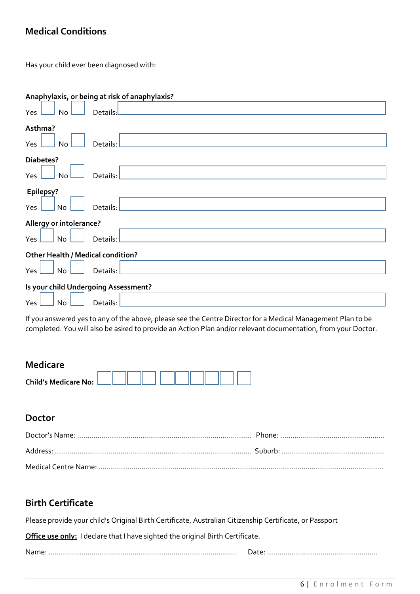## **Medical Conditions**

Has your child ever been diagnosed with:

| Anaphylaxis, or being at risk of anaphylaxis?                                       |
|-------------------------------------------------------------------------------------|
| Details:<br>Yes<br>No<br><u> 1980 - Jan Stein Stein, fransk politiker (d. 1980)</u> |
| Asthma?                                                                             |
| Yes<br>Details:<br>No                                                               |
| Diabetes?                                                                           |
| Yes<br>Details:<br>No                                                               |
| Epilepsy?                                                                           |
| Yes<br>No<br>Details:                                                               |
| Allergy or intolerance?                                                             |
| Details:<br>Yes<br>No                                                               |
| <b>Other Health / Medical condition?</b>                                            |
| Details:<br>Yes<br>No                                                               |
| Is your child Undergoing Assessment?                                                |
| Yes<br><b>No</b><br>Details:                                                        |

If you answered yes to any of the above, please see the Centre Director for a Medical Management Plan to be completed. You will also be asked to provide an Action Plan and/or relevant documentation, from your Doctor.

## **Medicare**

| <b>Child's Medicare No:</b> |  |  |  |  |  |  |
|-----------------------------|--|--|--|--|--|--|
|                             |  |  |  |  |  |  |

## **Doctor**

## **Birth Certificate**

Please provide your child's Original Birth Certificate, Australian Citizenship Certificate, or Passport

**Office use only:** I declare that I have sighted the original Birth Certificate.

Name: ………………………………………………………………………..……… Date: ………………………………………………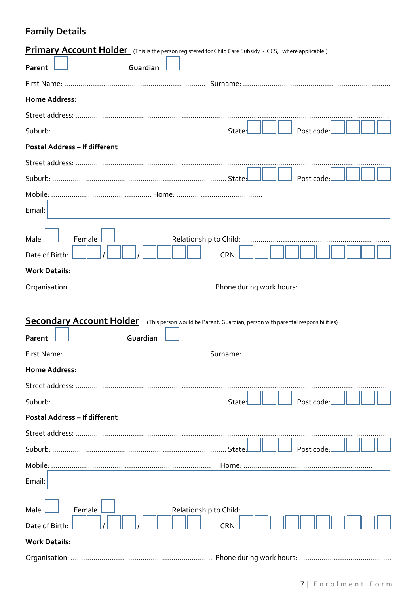## **Family Details**

| <b>Primary Account Holder</b> (This is the person registered for Child Care Subsidy - CCS, where applicable.)                        |
|--------------------------------------------------------------------------------------------------------------------------------------|
| Guardian<br>Parent                                                                                                                   |
|                                                                                                                                      |
| <b>Home Address:</b>                                                                                                                 |
|                                                                                                                                      |
| Post code:                                                                                                                           |
| <b>Postal Address - If different</b>                                                                                                 |
|                                                                                                                                      |
| Post code:                                                                                                                           |
|                                                                                                                                      |
| Email:                                                                                                                               |
| Male<br>Female<br>Date of Birth:<br>CRN:                                                                                             |
| <b>Work Details:</b>                                                                                                                 |
|                                                                                                                                      |
|                                                                                                                                      |
| <b>Secondary Account Holder</b> (This person would be Parent, Guardian, person with parental responsibilities)<br>Guardian<br>Parent |
|                                                                                                                                      |
| <b>Home Address:</b>                                                                                                                 |
|                                                                                                                                      |
| Post code                                                                                                                            |
| <b>Postal Address - If different</b>                                                                                                 |
|                                                                                                                                      |
| Post code                                                                                                                            |
|                                                                                                                                      |
| Email:                                                                                                                               |
| Male<br>Female<br>Date of Birth:<br><b>CRN</b><br><b>Work Details:</b>                                                               |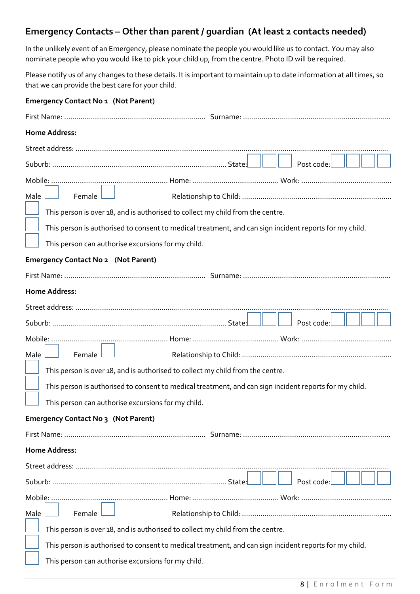## **Emergency Contacts – Other than parent / guardian (At least 2 contacts needed)**

In the unlikely event of an Emergency, please nominate the people you would like us to contact. You may also nominate people who you would like to pick your child up, from the centre. Photo ID will be required.

Please notify us of any changes to these details. It is important to maintain up to date information at all times, so that we can provide the best care for your child.

| <b>Emergency Contact No 1 (Not Parent)</b>                                                             |
|--------------------------------------------------------------------------------------------------------|
|                                                                                                        |
| <b>Home Address:</b>                                                                                   |
|                                                                                                        |
| Post code:                                                                                             |
|                                                                                                        |
| Male<br>Female                                                                                         |
| This person is over 18, and is authorised to collect my child from the centre.                         |
| This person is authorised to consent to medical treatment, and can sign incident reports for my child. |
| This person can authorise excursions for my child.                                                     |
| <b>Emergency Contact No 2 (Not Parent)</b>                                                             |
|                                                                                                        |
| <b>Home Address:</b>                                                                                   |
|                                                                                                        |
| Post code:                                                                                             |
|                                                                                                        |
| Male<br>Female                                                                                         |
| This person is over 18, and is authorised to collect my child from the centre.                         |
| This person is authorised to consent to medical treatment, and can sign incident reports for my child. |
| This person can authorise excursions for my child.                                                     |
| Emergency Contact No 3 (Not Parent)                                                                    |
|                                                                                                        |
| <b>Home Address:</b>                                                                                   |
|                                                                                                        |
| Post code:                                                                                             |
|                                                                                                        |
| Male<br>Female                                                                                         |
| This person is over 18, and is authorised to collect my child from the centre.                         |
| This person is authorised to consent to medical treatment, and can sign incident reports for my child. |
| This person can authorise excursions for my child.                                                     |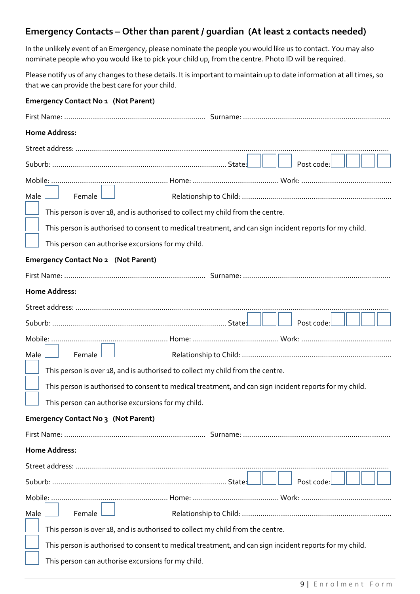## **Emergency Contacts – Other than parent / guardian (At least 2 contacts needed)**

In the unlikely event of an Emergency, please nominate the people you would like us to contact. You may also nominate people who you would like to pick your child up, from the centre. Photo ID will be required.

Please notify us of any changes to these details. It is important to maintain up to date information at all times, so that we can provide the best care for your child.

| <b>Emergency Contact No 1 (Not Parent)</b>                                                             |
|--------------------------------------------------------------------------------------------------------|
|                                                                                                        |
| <b>Home Address:</b>                                                                                   |
|                                                                                                        |
| Post code:                                                                                             |
|                                                                                                        |
| Male<br>Female                                                                                         |
| This person is over 18, and is authorised to collect my child from the centre.                         |
| This person is authorised to consent to medical treatment, and can sign incident reports for my child. |
| This person can authorise excursions for my child.                                                     |
| <b>Emergency Contact No 2 (Not Parent)</b>                                                             |
|                                                                                                        |
| <b>Home Address:</b>                                                                                   |
|                                                                                                        |
| Post code:                                                                                             |
|                                                                                                        |
| Male<br>Female                                                                                         |
| This person is over 18, and is authorised to collect my child from the centre.                         |
| This person is authorised to consent to medical treatment, and can sign incident reports for my child. |
| This person can authorise excursions for my child.                                                     |
| Emergency Contact No 3 (Not Parent)                                                                    |
|                                                                                                        |
| <b>Home Address:</b>                                                                                   |
|                                                                                                        |
| Post code:                                                                                             |
|                                                                                                        |
| Male<br>Female                                                                                         |
| This person is over 18, and is authorised to collect my child from the centre.                         |
| This person is authorised to consent to medical treatment, and can sign incident reports for my child. |
| This person can authorise excursions for my child.                                                     |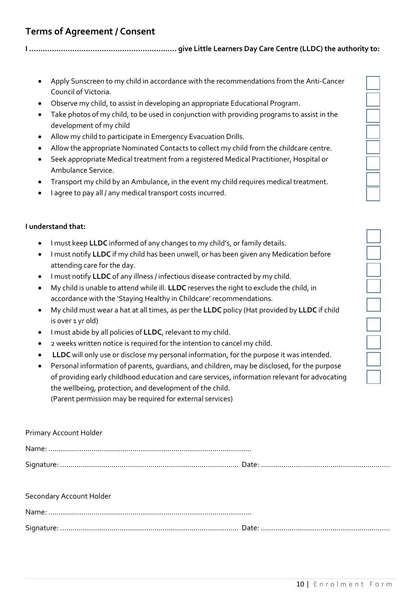## **Terms of Agreement / Consent**

**I ………………………………………….……….…… give Little Learners Day Care Centre (LLDC) the authority to:**

- Apply Sunscreen to my child in accordance with the recommendations from the Anti-Cancer Council of Victoria.
- Observe my child, to assist in developing an appropriate Educational Program.
- Take photos of my child, to be used in conjunction with providing programs to assist in the development of my child
- Allow my child to participate in Emergency Evacuation Drills.
- Allow the appropriate Nominated Contacts to collect my child from the childcare centre.
- Seek appropriate Medical treatment from a registered Medical Practitioner, Hospital or Ambulance Service.
- Transport my child by an Ambulance, in the event my child requires medical treatment.
- I agree to pay all / any medical transport costs incurred.

#### **I understand that:**

- I must keep **LLDC** informed of any changes to my child's, or family details.
- I must notify **LLDC** if my child has been unwell, or has been given any Medication before attending care for the day.
- I must notify **LLDC** of any illness / infectious disease contracted by my child.
- My child is unable to attend while ill. **LLDC** reserves the right to exclude the child, in accordance with the 'Staying Healthy in Childcare' recommendations.
- My child must wear a hat at all times, as per the **LLDC** policy (Hat provided by **LLDC** if child is over 1 yr old)
- I must abide by all policies of **LLDC**, relevant to my child.
- 2 weeks written notice is required for the intention to cancel my child.
- **LLDC** will only use or disclose my personal information, for the purpose it was intended.
- Personal information of parents, guardians, and children, may be disclosed, for the purpose of providing early childhood education and care services, information relevant for advocating the wellbeing, protection, and development of the child. (Parent permission may be required for external services)

|  | Primary Account Holder |  |
|--|------------------------|--|
|--|------------------------|--|

Name: …………………………………………………………………………………..…. Signature: …………………………....................................………………… Date: ………………………………………………………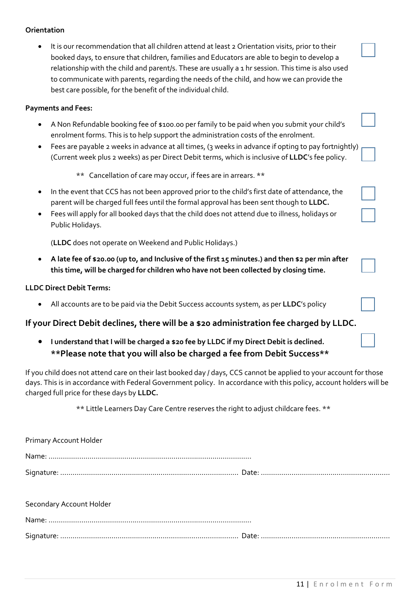#### **Orientation**

• It is our recommendation that all children attend at least 2 Orientation visits, prior to their booked days, to ensure that children, families and Educators are able to begin to develop a relationship with the child and parent/s. These are usually a 1 hr session. This time is also used to communicate with parents, regarding the needs of the child, and how we can provide the best care possible, for the benefit of the individual child.

#### **Payments and Fees:**

- A Non Refundable booking fee of \$100.00 per family to be paid when you submit your child's enrolment forms. This is to help support the administration costs of the enrolment.
- Fees are payable 2 weeks in advance at all times, (3 weeks in advance if opting to pay fortnightly) (Current week plus 2 weeks) as per Direct Debit terms, which is inclusive of **LLDC**'s fee policy.

\*\* Cancellation of care may occur, if fees are in arrears. \*\*

- In the event that CCS has not been approved prior to the child's first date of attendance, the parent will be charged full fees until the formal approval has been sent though to **LLDC.**
- Fees will apply for all booked days that the child does not attend due to illness, holidays or Public Holidays.

(**LLDC** does not operate on Weekend and Public Holidays.)

• **A late fee of \$20.00 (up to, and Inclusive of the first 15 minutes.) and then \$2 per min after this time, will be charged for children who have not been collected by closing time.**

#### **LLDC Direct Debit Terms:**

• All accounts are to be paid via the Debit Success accounts system, as per **LLDC**'s policy

#### **If your Direct Debit declines, there will be a \$20 administration fee charged by LLDC.**

• **I understand that I will be charged a \$20 fee by LLDC if my Direct Debit is declined. \*\*Please note that you will also be charged a fee from Debit Success\*\***

If you child does not attend care on their last booked day / days, CCS cannot be applied to your account for those days. This is in accordance with Federal Government policy. In accordance with this policy, account holders will be charged full price for these days by **LLDC.**

\*\* Little Learners Day Care Centre reserves the right to adjust childcare fees. \*\*

| Primary Account Holder   |  |
|--------------------------|--|
|                          |  |
|                          |  |
| Secondary Account Holder |  |
|                          |  |
|                          |  |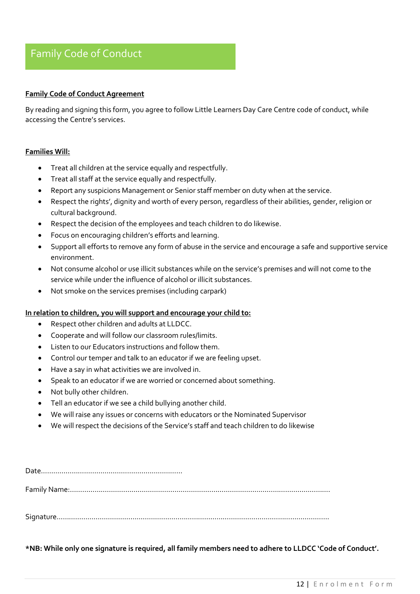## Family Code of Conduct

#### **Family Code of Conduct Agreement**

By reading and signing this form, you agree to follow Little Learners Day Care Centre code of conduct, while accessing the Centre's services.

#### **Families Will:**

- Treat all children at the service equally and respectfully.
- Treat all staff at the service equally and respectfully.
- Report any suspicions Management or Senior staff member on duty when at the service.
- Respect the rights', dignity and worth of every person, regardless of their abilities, gender, religion or cultural background.
- Respect the decision of the employees and teach children to do likewise.
- Focus on encouraging children's efforts and learning.
- Support all efforts to remove any form of abuse in the service and encourage a safe and supportive service environment.
- Not consume alcohol or use illicit substances while on the service's premises and will not come to the service while under the influence of alcohol or illicit substances.
- Not smoke on the services premises (including carpark)

#### **In relation to children, you will support and encourage your child to:**

- Respect other children and adults at LLDCC.
- Cooperate and will follow our classroom rules/limits.
- Listen to our Educators instructions and follow them.
- Control our temper and talk to an educator if we are feeling upset.
- Have a say in what activities we are involved in.
- Speak to an educator if we are worried or concerned about something.
- Not bully other children.
- Tell an educator if we see a child bullying another child.
- We will raise any issues or concerns with educators or the Nominated Supervisor
- We will respect the decisions of the Service's staff and teach children to do likewise

Date…………………………………………………………… Family Name:………………………………………………………………………………………………………………. Signature…………………………………………………………………………………………………………………….

**\*NB: While only one signature is required, all family members need to adhere to LLDCC 'Code of Conduct'.**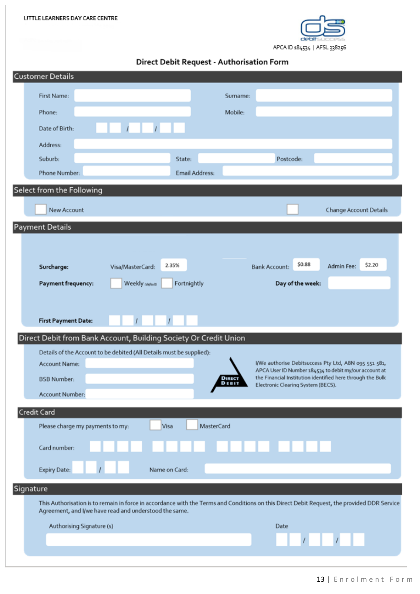

Direct Debit Request - Authorisation Form

| <b>Customer Details</b>                                              |                                                                                                                                             |
|----------------------------------------------------------------------|---------------------------------------------------------------------------------------------------------------------------------------------|
| First Name:                                                          | Surname:                                                                                                                                    |
| Phone:                                                               | Mobile:                                                                                                                                     |
|                                                                      |                                                                                                                                             |
| Date of Birth:                                                       |                                                                                                                                             |
| Address:                                                             |                                                                                                                                             |
| Suburb:<br>State:                                                    | Postcode:                                                                                                                                   |
| Phone Number:                                                        | <b>Email Address:</b>                                                                                                                       |
| Select from the Following                                            |                                                                                                                                             |
| New Account                                                          | <b>Change Account Details</b>                                                                                                               |
| Payment Details                                                      |                                                                                                                                             |
|                                                                      |                                                                                                                                             |
|                                                                      |                                                                                                                                             |
| 2.35%<br>Surcharge:<br>Visa/MasterCard:                              | \$0.88<br>\$2.20<br>Admin Fee:<br><b>Bank Account:</b>                                                                                      |
| Payment frequency:<br>Weekly (default)                               | Fortnightly<br>Day of the week:                                                                                                             |
|                                                                      |                                                                                                                                             |
|                                                                      |                                                                                                                                             |
| <b>First Payment Date:</b>                                           |                                                                                                                                             |
| Direct Debit from Bank Account, Building Society Or Credit Union     |                                                                                                                                             |
| Details of the Account to be debited (All Details must be supplied): |                                                                                                                                             |
| Account Name:                                                        | I/We authorise Debitsuccess Pty Ltd, ABN 095 551 581,<br>APCA User ID Number 184534 to debit my/our account at                              |
| <b>BSB Number:</b>                                                   | the Financial Institution identified here through the Bulk<br><b>DIRECT</b><br>DEBIT<br>Electronic Clearing System (BECS).                  |
| Account Number:                                                      |                                                                                                                                             |
| Credit Card                                                          |                                                                                                                                             |
| Visa<br>Please charge my payments to my:                             | MasterCard                                                                                                                                  |
| Card number:                                                         | .                                                                                                                                           |
|                                                                      |                                                                                                                                             |
| Name on Card:<br>Expiry Date:                                        |                                                                                                                                             |
| Signature                                                            |                                                                                                                                             |
| Agreement, and I/we have read and understood the same.               | This Authorisation is to remain in force in accordance with the Terms and Conditions on this Direct Debit Request, the provided DDR Service |
| Authorising Signature (s)                                            | Date                                                                                                                                        |
|                                                                      | $\mathcal{L}$ and $\mathcal{L}$                                                                                                             |
|                                                                      |                                                                                                                                             |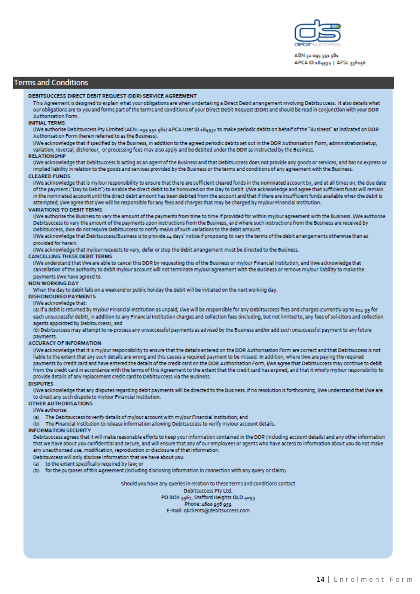

ABN 32 095 551 581 APCA ID 184534 | AFSL 338256

#### **Terms and Conditions**

#### DEBITSUCCESS DIRECT DEBIT REQUEST (DDR) SERVICE AGREEMENT

This Agreement is designed to explain what your obligations are when undertaking a Direct Debit arrangement involving Debitsuccess. It also details what our obligations are to you and forms part of the terms and conditions of your Direct Debit Request (DDR) and should be read in conjunction with your DDR **Authorisation Form** 

#### **INITIAL TERMS**

I/We authorise Debitsuccess Pty Limited (ACN: 005 551 581) APCA User ID 184522 to make periodic debits on behalf of the "Business" as indicated on DDR Authorisation Form (herein referred to as the Business).

I/We acknowledge that if specified by the Business, in addition to the agreed periodic debits set out in the DDR Authorisation Form, administration/setup, variation, reversal, dishonour, or processing fees may also apply and be debited under the DDR as instructed by the Business.

#### **RELATIONSHIP**

I/We acknowledge that Debitsuccess is acting as an agent of the Business and that Debitsuccess does not provide any goods or services, and has no express or implied liability in relation to the goods and services provided by the Business or the terms and conditions of any agreement with the Business.

#### **CLEARED FUNDS**

I/We acknowledge that is my/our responsibility to ensure that there are sufficient cleared funds in the nominated account by, and at all times on, the due date of the payment ("Day to Debit") to enable the direct debit to be honoured on the Day to Debit. I/We acknowledge and agree that sufficient funds will remain in the nominated account until the direct debit amount has been debited from the account and that if there are insufficient funds available when the debit is attempted, I/we agree that I/we will be responsible for any fees and charges that may be charged by my/our Financial Institution.

#### **VARIATIONS TO DEBIT TERMS**

I/We authorise the Business to vary the amount of the payments from time to time if provided for within my/our agreement with the Business. I/We authorise Debitsuccess to vary the amount of the payments upon instructions from the Business, and where such instructions from the Business are received by Debitsuccess, I/we do not require Debitsuccess to notify me/us of such variations to the debit amount.

I/We acknowledge that Debitsuccess/Business is to provide 44 days' notice if proposing to vary the terms of the debit arrangements otherwise than as provided for herein.

I/We acknowledge that my/our requests to vary, defer or stop the debit arrangement must be directed to the Business.

#### **CANCELLING THESE DEBIT TERMS**

I/We understand that I/we are able to cancel this DDR by requesting this of the Business or my/our Financial Institution, and I/we acknowledge that cancellation of the authority to debit my/our account will not terminate my/our agreement with the Business or remove my/our liability to make the payments I/we have agreed to.

#### **NON WORKING DAY**

When the day to debit falls on a weekend or public holiday the debit will be initiated on the next working day.

#### **DISHONOURED PAYMENTS**

I/We acknowledge that:

(a) if a debit is returned by my/our Financial Institution as unpaid, I/we will be responsible for any Debitsuccess fees and charges (currently up to \$14.95 for each unsuccessful debit), in addition to any Financial Institution charges and collection fees (including, but not limited to, any fees of solicitors and collection anents annointed by Debitsuccess): and

(b) Debitsuccess may attempt to re-process any unsuccessful payments as advised by the Business and/or add such unsuccessful payment to any future payments.

#### **ACCURACY OF INFORMATION**

I/We acknowledge that it is my/our responsibility to ensure that the details entered on the DDR Authorisation Form are correct and that Debitsuccess is not liable to the extent that any such details are wrong and this causes a required payment to be missed. In addition, where I/we are paying the required payments by credit card and have entered the details of the credit card on the DDR Authorisation Form, I/we agree that Debitsuccess may continue to debit from the credit card in accordance with the terms of this Agreement to the extent that the credit card has expired, and that it wholly my/our responsibility to provide details of any replacement credit card to Debitsuccess via the Business.

#### **DISPUTES**

I/We acknowledge that any disputes regarding debit payments will be directed to the Business. If no resolution is forthcoming, I/we understand that I/we are to direct any such dispute to my/our Financial Institution.

#### OTHER AUTHORISATIONS

I/We authorise:

The Debitsuccess to verify details of my/our account with my/our Financial Institution; and

The Financial Institution to release information allowing Debitsuccess to verify my/our account details. (b)

#### **INFORMATION SECURITY**

Debitsuccess agrees that it will make reasonable efforts to keep your information contained in the DDR (including account details) and any other information that we have about you confidential and secure, and will ensure that any of our employees or agents who have access to information about you do not make any unauthorised use, modification, reproduction or disclosure of that information.

#### Debitsuccess will only disclose information that we have about you:

- (a) to the extent specifically required by law; or
- (b) for the purposes of this Agreement (including disclosing information in connection with any query or claim).

Should you have any queries in relation to these terms and conditions contact Debitsuccess Pty Ltd. PO BOX 5567, Stafford Heights QLD 4053 Phone: 1800 956 959 E-mail: qkclients@debitsuccess.com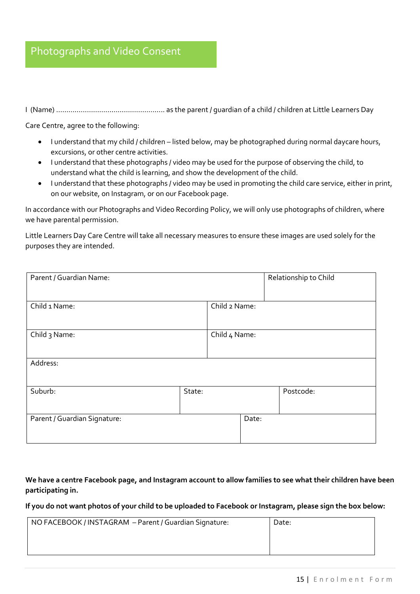## Photographs and Video Consent

I (Name) …………………………………………….. as the parent / guardian of a child / children at Little Learners Day

Care Centre, agree to the following:

- I understand that my child / children listed below, may be photographed during normal daycare hours, excursions, or other centre activities.
- I understand that these photographs / video may be used for the purpose of observing the child, to understand what the child is learning, and show the development of the child.
- I understand that these photographs / video may be used in promoting the child care service, either in print, on our website, on Instagram, or on our Facebook page.

In accordance with our Photographs and Video Recording Policy, we will only use photographs of children, where we have parental permission.

Little Learners Day Care Centre will take all necessary measures to ensure these images are used solely for the purposes they are intended.

| Parent / Guardian Name:      |        |               |       | Relationship to Child |
|------------------------------|--------|---------------|-------|-----------------------|
| Child 1 Name:                |        | Child 2 Name: |       |                       |
| Child 3 Name:                |        | Child 4 Name: |       |                       |
| Address:                     |        |               |       |                       |
| Suburb:                      | State: |               |       | Postcode:             |
| Parent / Guardian Signature: |        |               | Date: |                       |

**We have a centre Facebook page, and Instagram account to allow families to see what their children have been participating in.** 

**If you do not want photos of your child to be uploaded to Facebook or Instagram, please sign the box below:**

| NO FACEBOOK / INSTAGRAM - Parent / Guardian Signature: | Date: |
|--------------------------------------------------------|-------|
|                                                        |       |
|                                                        |       |
|                                                        |       |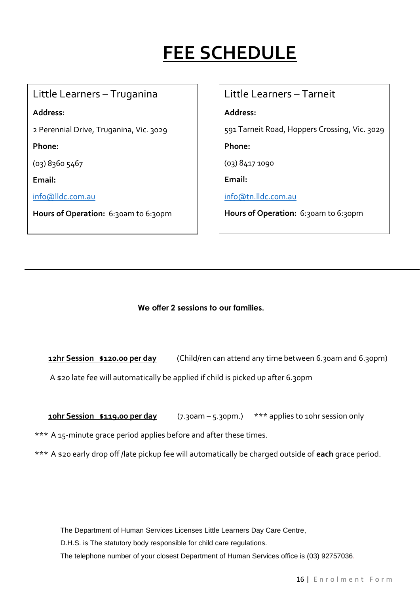## **FEE SCHEDULE**

## Little Learners – Truganina

**Address:**

2 Perennial Drive, Truganina, Vic. 3029

**Phone:**

(03) 8360 5467

**Email:**

[info@lldc.com.au](mailto:info@lldc.com.au)

**Hours of Operation:** 6:30am to 6:30pm

## Little Learners – Tarneit

**Address:**

591 Tarneit Road, Hoppers Crossing, Vic. 3029

**Phone:**

(03) 8417 1090

**Email:**

[info@tn.lldc.com.au](mailto:info@tn.lldc.com.au)

Hours of Operation: 6:30am to 6:30pm

 **We offer 2 sessions to our families.**

**12hr Session \$120.00 per day** (Child/ren can attend any time between 6.30am and 6.30pm)

A \$20 late fee will automatically be applied if child is picked up after 6.30pm

**10hr Session \$119.00 per day** (7.30am – 5.30pm.) \*\*\* applies to 10hr session only

\*\*\* A 15-minute grace period applies before and after these times.

\*\*\* A \$20 early drop off /late pickup fee will automatically be charged outside of **each** grace period.

The Department of Human Services Licenses Little Learners Day Care Centre,

D.H.S. is The statutory body responsible for child care regulations.

The telephone number of your closest Department of Human Services office is (03) 92757036.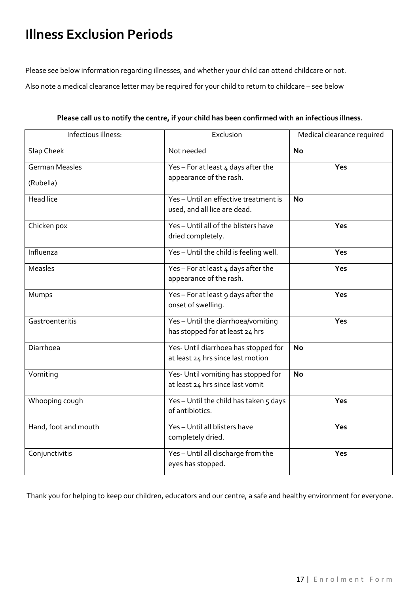## **Illness Exclusion Periods**

Please see below information regarding illnesses, and whether your child can attend childcare or not.

Also note a medical clearance letter may be required for your child to return to childcare – see below

| Infectious illness:   | Exclusion                                                                 | Medical clearance required |
|-----------------------|---------------------------------------------------------------------------|----------------------------|
| Slap Cheek            | Not needed                                                                | <b>No</b>                  |
| <b>German Measles</b> | Yes - For at least $4$ days after the                                     | Yes                        |
| (Rubella)             | appearance of the rash.                                                   |                            |
| <b>Head lice</b>      | Yes-Until an effective treatment is<br>used, and all lice are dead.       | <b>No</b>                  |
| Chicken pox           | Yes-Until all of the blisters have<br>dried completely.                   | Yes                        |
| Influenza             | Yes-Until the child is feeling well.                                      | Yes                        |
| <b>Measles</b>        | Yes - For at least $4$ days after the<br>appearance of the rash.          | Yes                        |
| Mumps                 | Yes-For at least 9 days after the<br>onset of swelling.                   | Yes                        |
| Gastroenteritis       | Yes-Until the diarrhoea/vomiting<br>has stopped for at least 24 hrs       | Yes                        |
| Diarrhoea             | Yes- Until diarrhoea has stopped for<br>at least 24 hrs since last motion | No                         |
| Vomiting              | Yes- Until vomiting has stopped for<br>at least 24 hrs since last vomit   | <b>No</b>                  |
| Whooping cough        | Yes-Until the child has taken 5 days<br>of antibiotics.                   | Yes                        |
| Hand, foot and mouth  | Yes-Until all blisters have<br>completely dried.                          | Yes                        |
| Conjunctivitis        | $\overline{Yes}$ - Until all discharge from the<br>eyes has stopped.      | Yes                        |

**Please call us to notify the centre, if your child has been confirmed with an infectious illness.**

Thank you for helping to keep our children, educators and our centre, a safe and healthy environment for everyone.